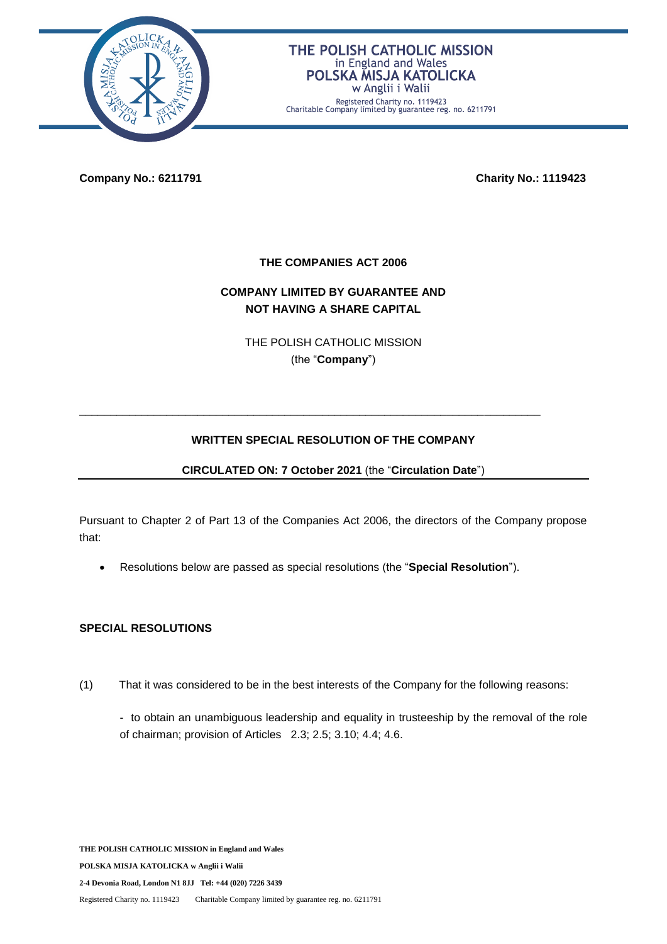

### THE POLISH CATHOLIC MISSION in England and Wales POLSKA MISJA KATOLICKA w Anglii i Walii

Registered Charity no. 1119423 Charitable Company limited by guarantee reg. no. 6211791

**Company No.: 6211791 Charity No.: 1119423**

**THE COMPANIES ACT 2006**

# **COMPANY LIMITED BY GUARANTEE AND NOT HAVING A SHARE CAPITAL**

THE POLISH CATHOLIC MISSION (the "**Company**")

## **WRITTEN SPECIAL RESOLUTION OF THE COMPANY**

\_\_\_\_\_\_\_\_\_\_\_\_\_\_\_\_\_\_\_\_\_\_\_\_\_\_\_\_\_\_\_\_\_\_\_\_\_\_\_\_\_\_\_\_\_\_\_\_\_\_\_\_\_\_\_\_\_\_\_\_\_\_\_\_\_\_\_\_\_\_\_\_\_\_

**CIRCULATED ON: 7 October 2021** (the "**Circulation Date**")

Pursuant to Chapter 2 of Part 13 of the Companies Act 2006, the directors of the Company propose that:

Resolutions below are passed as special resolutions (the "**Special Resolution**").

### **SPECIAL RESOLUTIONS**

(1) That it was considered to be in the best interests of the Company for the following reasons:

- to obtain an unambiguous leadership and equality in trusteeship by the removal of the role of chairman; provision of Articles 2.3; 2.5; 3.10; 4.4; 4.6.

**THE POLISH CATHOLIC MISSION in England and Wales POLSKA MISJA KATOLICKA w Anglii i Walii 2-4 Devonia Road, London N1 8JJ Tel: +44 (020) 7226 3439** Registered Charity no. 1119423 Charitable Company limited by guarantee reg. no. 6211791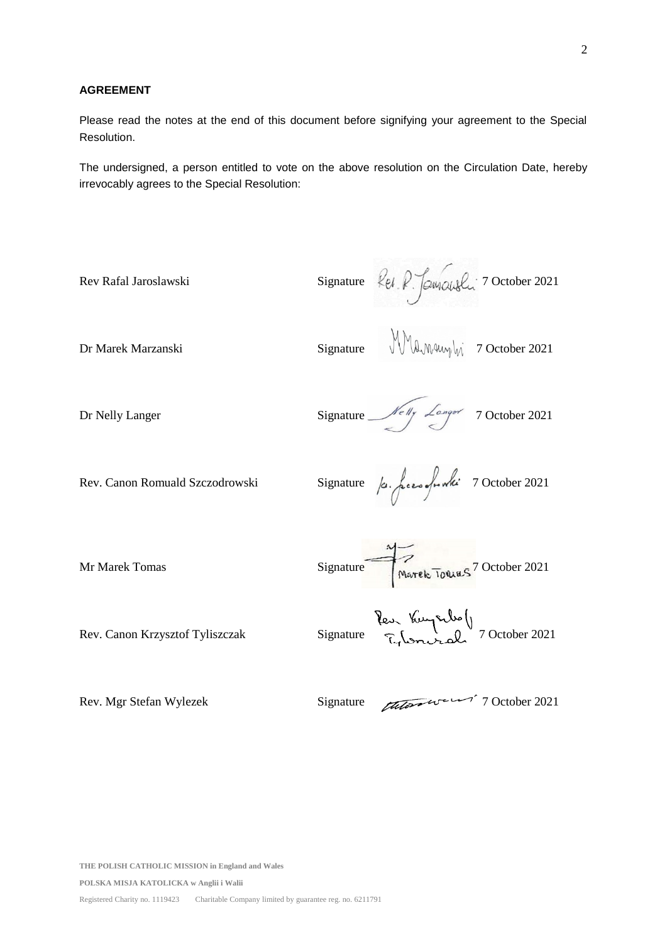#### **AGREEMENT**

Please read the notes at the end of this document before signifying your agreement to the Special Resolution.

The undersigned, a person entitled to vote on the above resolution on the Circulation Date, hereby irrevocably agrees to the Special Resolution:

Rev Rafal Jaroslawski Signature  $\ell_{el}$   $\ell$   $\beta$   $\beta$   $\alpha$   $\alpha$ Dr Marek Marzanski Signature  $\mathbb{M}_{\mathbb{A} \mathbb{M}}$  7 October 2021 Dr Nelly Langer Signature Melly Langer 7 October 2021 Rev. Canon Romuald Szczodrowski Signature  $\int a \cdot \int e^{i\omega} \sqrt{n} dx$  7 October 2021 Mr Marek Tomas Signature 100 Marek Towns 7 October 2021 Rev. Canon Krzysztof Tyliszczak Signature Rev. Kuyszko ()<br>Rev. Canon Krzysztof Tyliszczak Signature 7 October 2021

Rev. Mgr Stefan Wylezek Signature 2021